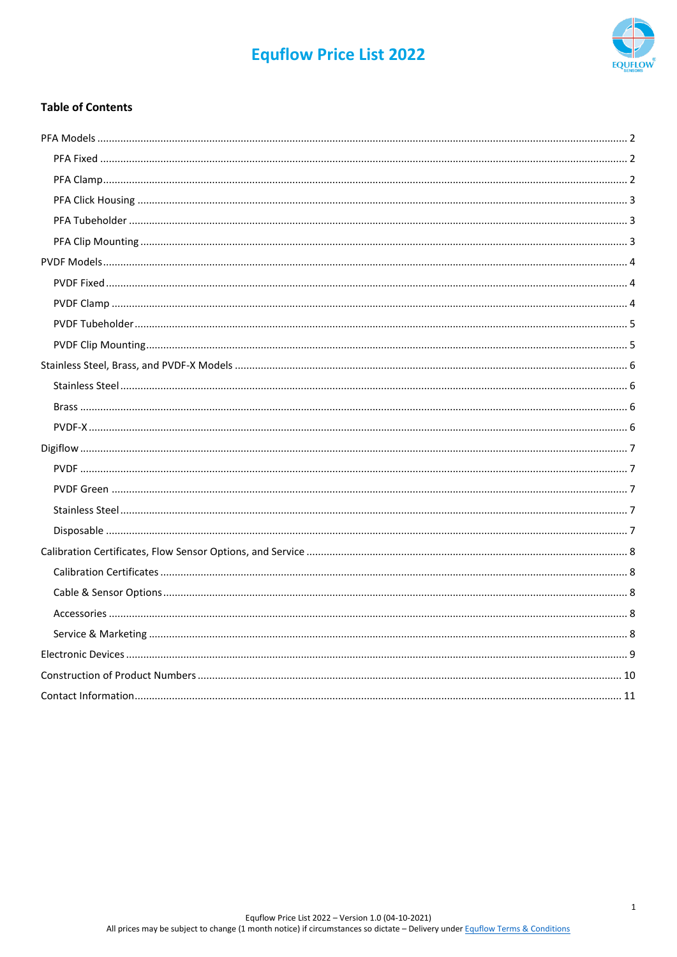# **Equflow Price List 2022**



## **Table of Contents**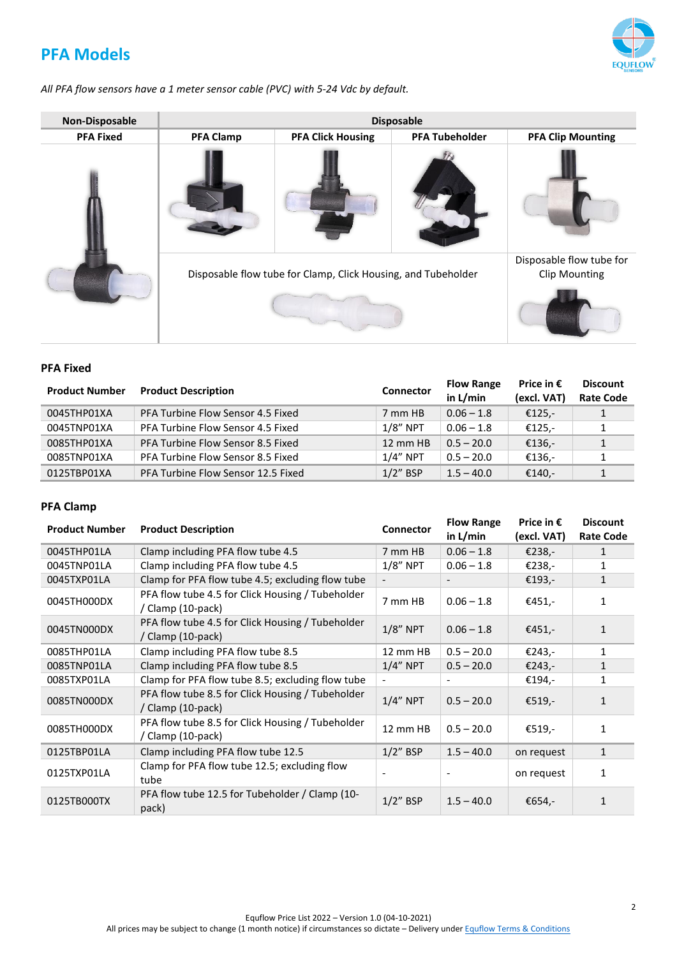# <span id="page-1-0"></span>**PFA Models**

*All PFA flow sensors have a 1 meter sensor cable (PVC) with 5-24 Vdc by default.*

| Non-Disposable   |                                                               | <b>Disposable</b>                                |                       |                          |  |  |  |  |
|------------------|---------------------------------------------------------------|--------------------------------------------------|-----------------------|--------------------------|--|--|--|--|
| <b>PFA Fixed</b> | <b>PFA Clamp</b>                                              | <b>PFA Click Housing</b>                         | <b>PFA Tubeholder</b> | <b>PFA Clip Mounting</b> |  |  |  |  |
|                  |                                                               |                                                  |                       |                          |  |  |  |  |
|                  | Disposable flow tube for Clamp, Click Housing, and Tubeholder | Disposable flow tube for<br><b>Clip Mounting</b> |                       |                          |  |  |  |  |
|                  |                                                               |                                                  |                       |                          |  |  |  |  |

#### <span id="page-1-1"></span>**PFA Fixed**

| <b>Product Number</b> | <b>Product Description</b>         | <b>Connector</b> | <b>Flow Range</b><br>in L/min | Price in $\epsilon$<br>(excl. VAT) | <b>Discount</b><br><b>Rate Code</b> |
|-----------------------|------------------------------------|------------------|-------------------------------|------------------------------------|-------------------------------------|
| 0045THP01XA           | PFA Turbine Flow Sensor 4.5 Fixed  | 7 mm HB          | $0.06 - 1.8$                  | €125.-                             |                                     |
| 0045TNP01XA           | PFA Turbine Flow Sensor 4.5 Fixed  | $1/8"$ NPT       | $0.06 - 1.8$                  | €125,-                             | 1.                                  |
| 0085THP01XA           | PFA Turbine Flow Sensor 8.5 Fixed  | 12 mm HB         | $0.5 - 20.0$                  | €136,-                             |                                     |
| 0085TNP01XA           | PFA Turbine Flow Sensor 8.5 Fixed  | $1/4"$ NPT       | $0.5 - 20.0$                  | €136,-                             |                                     |
| 0125TBP01XA           | PFA Turbine Flow Sensor 12.5 Fixed | $1/2$ " BSP      | $1.5 - 40.0$                  | €140.-                             |                                     |

### <span id="page-1-2"></span>**PFA Clamp**

| <b>Product Number</b> | <b>Product Description</b>                                            | <b>Connector</b> | <b>Flow Range</b><br>in L/min | Price in $\epsilon$<br>(excl. VAT) | <b>Discount</b><br><b>Rate Code</b> |
|-----------------------|-----------------------------------------------------------------------|------------------|-------------------------------|------------------------------------|-------------------------------------|
| 0045THP01LA           | Clamp including PFA flow tube 4.5                                     | 7 mm HB          | $0.06 - 1.8$                  | €238,-                             | 1                                   |
| 0045TNP01LA           | Clamp including PFA flow tube 4.5                                     | $1/8$ " NPT      | $0.06 - 1.8$                  | €238,-                             | 1                                   |
| 0045TXP01LA           | Clamp for PFA flow tube 4.5; excluding flow tube                      |                  |                               | €193,-                             | $\mathbf{1}$                        |
| 0045TH000DX           | PFA flow tube 4.5 for Click Housing / Tubeholder<br>/ Clamp (10-pack) | 7 mm HB          | $0.06 - 1.8$                  | €451,-                             | 1                                   |
| 0045TN000DX           | PFA flow tube 4.5 for Click Housing / Tubeholder<br>/ Clamp (10-pack) | $1/8$ " NPT      | $0.06 - 1.8$                  | €451,-                             | $\mathbf{1}$                        |
| 0085THP01LA           | Clamp including PFA flow tube 8.5                                     | 12 mm HB         | $0.5 - 20.0$                  | €243,-                             | 1                                   |
| 0085TNP01LA           | Clamp including PFA flow tube 8.5                                     | $1/4$ " NPT      | $0.5 - 20.0$                  | €243,-                             | 1                                   |
| 0085TXP01LA           | Clamp for PFA flow tube 8.5; excluding flow tube                      |                  |                               | €194,-                             |                                     |
| 0085TN000DX           | PFA flow tube 8.5 for Click Housing / Tubeholder<br>/ Clamp (10-pack) | $1/4$ " NPT      | $0.5 - 20.0$                  | €519,-                             | 1                                   |
| 0085TH000DX           | PFA flow tube 8.5 for Click Housing / Tubeholder<br>/ Clamp (10-pack) | 12 mm HB         | $0.5 - 20.0$                  | €519,-                             | 1                                   |
| 0125TBP01LA           | Clamp including PFA flow tube 12.5                                    | $1/2$ " BSP      | $1.5 - 40.0$                  | on request                         | $\mathbf{1}$                        |
| 0125TXP01LA           | Clamp for PFA flow tube 12.5; excluding flow<br>tube                  |                  |                               | on request                         | 1                                   |
| 0125TB000TX           | PFA flow tube 12.5 for Tubeholder / Clamp (10-<br>pack)               | $1/2$ " BSP      | $1.5 - 40.0$                  | €654,-                             |                                     |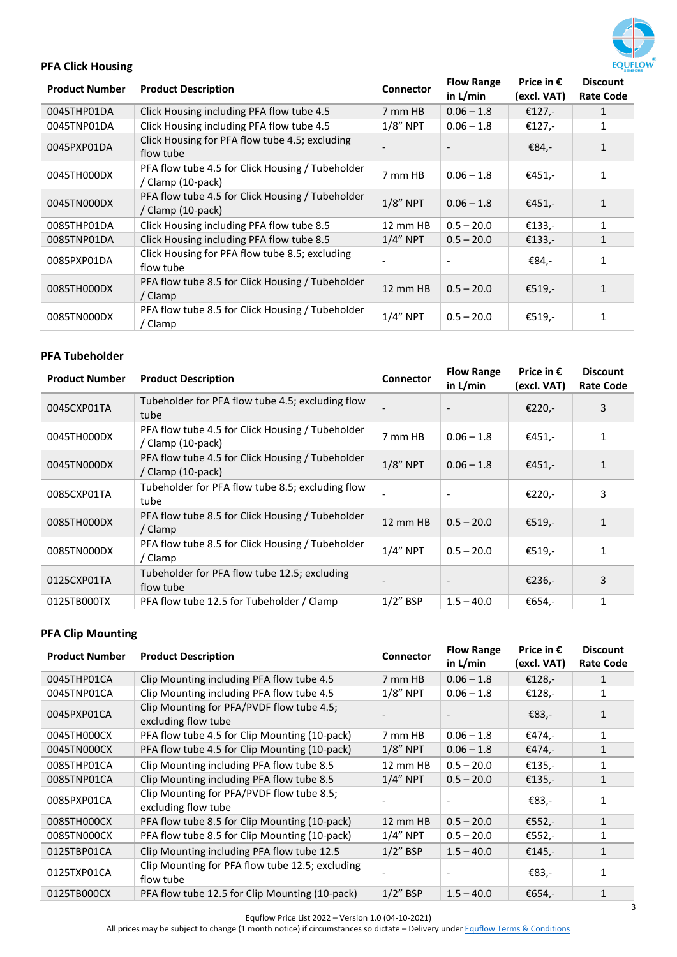

## <span id="page-2-0"></span>**PFA Click Housing**

| <b>Product Number</b> | <b>Product Description</b>                                            | Connector   | <b>Flow Range</b><br>in $L/min$ | Price in $\epsilon$<br>(excl. VAT) | <b>Discount</b><br><b>Rate Code</b> |
|-----------------------|-----------------------------------------------------------------------|-------------|---------------------------------|------------------------------------|-------------------------------------|
| 0045THP01DA           | Click Housing including PFA flow tube 4.5                             | 7 mm HB     | $0.06 - 1.8$                    | €127,-                             | 1                                   |
| 0045TNP01DA           | Click Housing including PFA flow tube 4.5                             | $1/8$ " NPT | $0.06 - 1.8$                    | €127,-                             | 1                                   |
| 0045PXP01DA           | Click Housing for PFA flow tube 4.5; excluding<br>flow tube           |             |                                 | €84,-                              | $\mathbf{1}$                        |
| 0045TH000DX           | PFA flow tube 4.5 for Click Housing / Tubeholder<br>/ Clamp (10-pack) | 7 mm HB     | $0.06 - 1.8$                    | €451,-                             | 1                                   |
| 0045TN000DX           | PFA flow tube 4.5 for Click Housing / Tubeholder<br>/ Clamp (10-pack) | $1/8$ " NPT | $0.06 - 1.8$                    | €451,-                             | $\mathbf{1}$                        |
| 0085THP01DA           | Click Housing including PFA flow tube 8.5                             | 12 mm HB    | $0.5 - 20.0$                    | €133,-                             | 1                                   |
| 0085TNP01DA           | Click Housing including PFA flow tube 8.5                             | $1/4"$ NPT  | $0.5 - 20.0$                    | €133,-                             | 1                                   |
| 0085PXP01DA           | Click Housing for PFA flow tube 8.5; excluding<br>flow tube           |             |                                 | €84,-                              | 1                                   |
| 0085TH000DX           | PFA flow tube 8.5 for Click Housing / Tubeholder<br>/ Clamp           | 12 mm HB    | $0.5 - 20.0$                    | €519,-                             | $\mathbf{1}$                        |
| 0085TN000DX           | PFA flow tube 8.5 for Click Housing / Tubeholder<br>' Clamp           | $1/4"$ NPT  | $0.5 - 20.0$                    | €519,-                             | 1                                   |

### <span id="page-2-1"></span>**PFA Tubeholder**

| <b>Product Number</b> | <b>Product Description</b>                                            | <b>Connector</b> | <b>Flow Range</b><br>in $L/min$ | Price in $\epsilon$<br>(excl. VAT) | <b>Discount</b><br><b>Rate Code</b> |
|-----------------------|-----------------------------------------------------------------------|------------------|---------------------------------|------------------------------------|-------------------------------------|
| 0045CXP01TA           | Tubeholder for PFA flow tube 4.5; excluding flow<br>tube              |                  |                                 | €220,-                             | 3                                   |
| 0045TH000DX           | PFA flow tube 4.5 for Click Housing / Tubeholder<br>/ Clamp (10-pack) | 7 mm HB          | $0.06 - 1.8$                    | €451,-                             | 1                                   |
| 0045TN000DX           | PFA flow tube 4.5 for Click Housing / Tubeholder<br>/ Clamp (10-pack) | $1/8$ " NPT      | $0.06 - 1.8$                    | €451,-                             | $\mathbf{1}$                        |
| 0085CXP01TA           | Tubeholder for PFA flow tube 8.5; excluding flow<br>tube              |                  |                                 | €220,-                             | 3                                   |
| 0085TH000DX           | PFA flow tube 8.5 for Click Housing / Tubeholder<br>/ Clamp           | 12 mm HB         | $0.5 - 20.0$                    | €519,-                             | $\mathbf{1}$                        |
| 0085TN000DX           | PFA flow tube 8.5 for Click Housing / Tubeholder<br>' Clamp           | $1/4$ " NPT      | $0.5 - 20.0$                    | €519,-                             | 1                                   |
| 0125CXP01TA           | Tubeholder for PFA flow tube 12.5; excluding<br>flow tube             |                  |                                 | €236,-                             | 3                                   |
| 0125TB000TX           | PFA flow tube 12.5 for Tubeholder / Clamp                             | $1/2$ " BSP      | $1.5 - 40.0$                    | €654,-                             | $\mathbf{1}$                        |

## <span id="page-2-2"></span>**PFA Clip Mounting**

| <b>Product Number</b> | <b>Product Description</b>                                       | <b>Connector</b> | <b>Flow Range</b><br>in $L/min$ | Price in $\epsilon$<br>(excl. VAT) | <b>Discount</b><br><b>Rate Code</b> |
|-----------------------|------------------------------------------------------------------|------------------|---------------------------------|------------------------------------|-------------------------------------|
| 0045THP01CA           | Clip Mounting including PFA flow tube 4.5                        | 7 mm HB          | $0.06 - 1.8$                    | €128,-                             | 1                                   |
| 0045TNP01CA           | Clip Mounting including PFA flow tube 4.5                        | $1/8$ " NPT      | $0.06 - 1.8$                    | €128,-                             | 1                                   |
| 0045PXP01CA           | Clip Mounting for PFA/PVDF flow tube 4.5;<br>excluding flow tube |                  |                                 | €83,-                              | $\mathbf{1}$                        |
| 0045TH000CX           | PFA flow tube 4.5 for Clip Mounting (10-pack)                    | 7 mm HB          | $0.06 - 1.8$                    | €474,-                             | 1                                   |
| 0045TN000CX           | PFA flow tube 4.5 for Clip Mounting (10-pack)                    | $1/8"$ NPT       | $0.06 - 1.8$                    | €474,-                             | $\mathbf{1}$                        |
| 0085THP01CA           | Clip Mounting including PFA flow tube 8.5                        | 12 mm HB         | $0.5 - 20.0$                    | €135,-                             | 1                                   |
| 0085TNP01CA           | Clip Mounting including PFA flow tube 8.5                        | $1/4$ " NPT      | $0.5 - 20.0$                    | €135,-                             | 1                                   |
| 0085PXP01CA           | Clip Mounting for PFA/PVDF flow tube 8.5;<br>excluding flow tube |                  |                                 | €83,-                              | 1                                   |
| 0085TH000CX           | PFA flow tube 8.5 for Clip Mounting (10-pack)                    | 12 mm HB         | $0.5 - 20.0$                    | €552,-                             | $\mathbf{1}$                        |
| 0085TN000CX           | PFA flow tube 8.5 for Clip Mounting (10-pack)                    | $1/4"$ NPT       | $0.5 - 20.0$                    | €552,-                             | $\mathbf{1}$                        |
| 0125TBP01CA           | Clip Mounting including PFA flow tube 12.5                       | $1/2$ " BSP      | $1.5 - 40.0$                    | €145,-                             | $\mathbf{1}$                        |
| 0125TXP01CA           | Clip Mounting for PFA flow tube 12.5; excluding<br>flow tube     |                  |                                 | €83,-                              | 1                                   |
| 0125TB000CX           | PFA flow tube 12.5 for Clip Mounting (10-pack)                   | $1/2$ " BSP      | $1.5 - 40.0$                    | €654,-                             |                                     |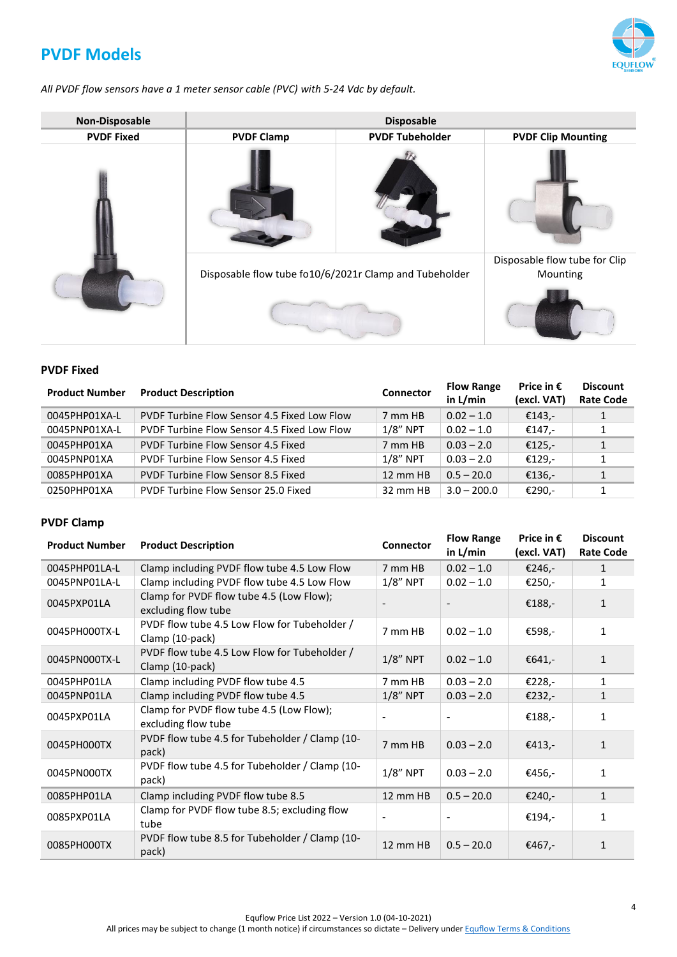# <span id="page-3-0"></span>**PVDF Models**

*All PVDF flow sensors have a 1 meter sensor cable (PVC) with 5-24 Vdc by default.*

| <b>Non-Disposable</b> |                                                        | <b>Disposable</b>      |                                           |
|-----------------------|--------------------------------------------------------|------------------------|-------------------------------------------|
| <b>PVDF Fixed</b>     | <b>PVDF Clamp</b>                                      | <b>PVDF Tubeholder</b> | <b>PVDF Clip Mounting</b>                 |
|                       |                                                        |                        |                                           |
|                       | Disposable flow tube fo10/6/2021r Clamp and Tubeholder |                        | Disposable flow tube for Clip<br>Mounting |
|                       |                                                        |                        |                                           |

#### <span id="page-3-1"></span>**PVDF Fixed**

| <b>Product Number</b> | <b>Product Description</b>                  | <b>Connector</b> | <b>Flow Range</b><br>in L/min | Price in $\epsilon$<br>(excl. VAT) | <b>Discount</b><br><b>Rate Code</b> |
|-----------------------|---------------------------------------------|------------------|-------------------------------|------------------------------------|-------------------------------------|
| 0045PHP01XA-L         | PVDF Turbine Flow Sensor 4.5 Fixed Low Flow | 7 mm HB          | $0.02 - 1.0$                  | €143.-                             |                                     |
| 0045PNP01XA-L         | PVDF Turbine Flow Sensor 4.5 Fixed Low Flow | $1/8$ " NPT      | $0.02 - 1.0$                  | €147,-                             | 1                                   |
| 0045PHP01XA           | PVDF Turbine Flow Sensor 4.5 Fixed          | 7 mm HB          | $0.03 - 2.0$                  | €125,-                             | $\mathbf{1}$                        |
| 0045PNP01XA           | PVDF Turbine Flow Sensor 4.5 Fixed          | $1/8$ " NPT      | $0.03 - 2.0$                  | €129,-                             |                                     |
| 0085PHP01XA           | PVDF Turbine Flow Sensor 8.5 Fixed          | 12 mm HB         | $0.5 - 20.0$                  | €136,-                             |                                     |
| 0250PHP01XA           | PVDF Turbine Flow Sensor 25.0 Fixed         | 32 mm HB         | $3.0 - 200.0$                 | €290,-                             |                                     |

### <span id="page-3-2"></span>**PVDF Clamp**

| <b>Product Number</b> | <b>Product Description</b>                                      | Connector   | <b>Flow Range</b><br>in $L/min$ | Price in $\epsilon$<br>(excl. VAT) | <b>Discount</b><br><b>Rate Code</b> |
|-----------------------|-----------------------------------------------------------------|-------------|---------------------------------|------------------------------------|-------------------------------------|
| 0045PHP01LA-L         | Clamp including PVDF flow tube 4.5 Low Flow                     | 7 mm HB     | $0.02 - 1.0$                    | €246,-                             | 1                                   |
| 0045PNP01LA-L         | Clamp including PVDF flow tube 4.5 Low Flow                     | $1/8$ " NPT | $0.02 - 1.0$                    | €250,-                             | 1                                   |
| 0045PXP01LA           | Clamp for PVDF flow tube 4.5 (Low Flow);<br>excluding flow tube |             |                                 | €188,-                             | $\mathbf{1}$                        |
| 0045PH000TX-L         | PVDF flow tube 4.5 Low Flow for Tubeholder /<br>Clamp (10-pack) | 7 mm HB     | $0.02 - 1.0$                    | €598,-                             | 1                                   |
| 0045PN000TX-L         | PVDF flow tube 4.5 Low Flow for Tubeholder /<br>Clamp (10-pack) | $1/8$ " NPT | $0.02 - 1.0$                    | €641,-                             | $\mathbf{1}$                        |
| 0045PHP01LA           | Clamp including PVDF flow tube 4.5                              | 7 mm HB     | $0.03 - 2.0$                    | €228,-                             | 1                                   |
| 0045PNP01LA           | Clamp including PVDF flow tube 4.5                              | $1/8$ " NPT | $0.03 - 2.0$                    | €232,-                             | $\mathbf{1}$                        |
| 0045PXP01LA           | Clamp for PVDF flow tube 4.5 (Low Flow);<br>excluding flow tube |             |                                 | €188,-                             | 1                                   |
| 0045PH000TX           | PVDF flow tube 4.5 for Tubeholder / Clamp (10-<br>pack)         | 7 mm HB     | $0.03 - 2.0$                    | €413,-                             | $\mathbf{1}$                        |
| 0045PN000TX           | PVDF flow tube 4.5 for Tubeholder / Clamp (10-<br>pack)         | $1/8$ " NPT | $0.03 - 2.0$                    | €456,-                             | $\mathbf{1}$                        |
| 0085PHP01LA           | Clamp including PVDF flow tube 8.5                              | 12 mm HB    | $0.5 - 20.0$                    | €240,-                             | $\mathbf{1}$                        |
| 0085PXP01LA           | Clamp for PVDF flow tube 8.5; excluding flow<br>tube            |             |                                 | €194,-                             | 1                                   |
| 0085PH000TX           | PVDF flow tube 8.5 for Tubeholder / Clamp (10-<br>pack)         | 12 mm HB    | $0.5 - 20.0$                    | €467,-                             | 1                                   |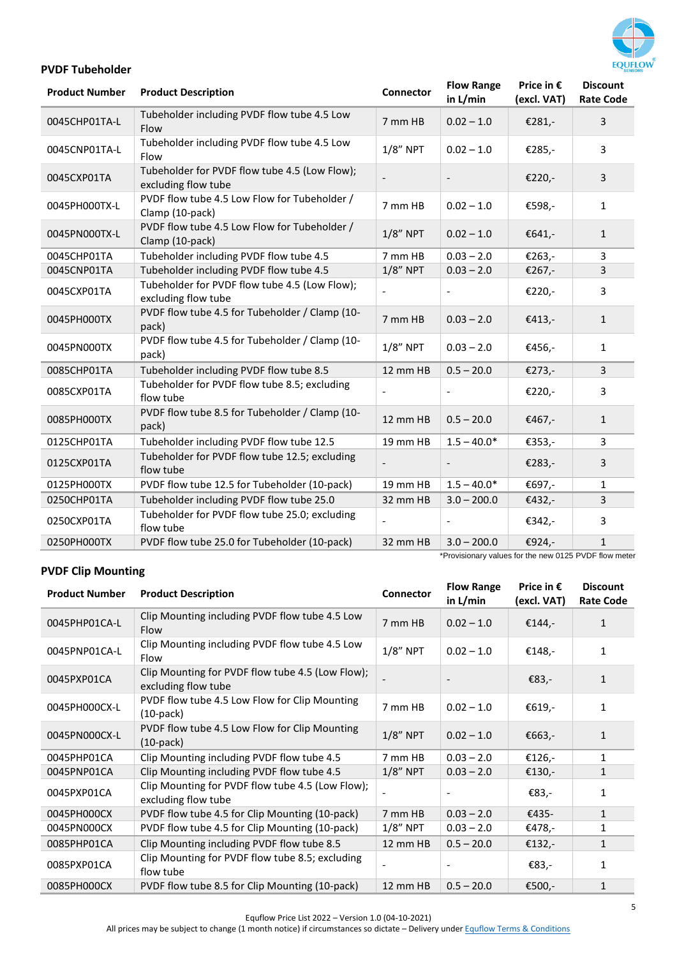

### <span id="page-4-0"></span>**PVDF Tubeholder**

| Tubeholder including PVDF flow tube 4.5 Low<br>$0.02 - 1.0$<br>0045CHP01TA-L<br>7 mm HB<br>€281,-                                                           | 3            |
|-------------------------------------------------------------------------------------------------------------------------------------------------------------|--------------|
| Flow                                                                                                                                                        |              |
| Tubeholder including PVDF flow tube 4.5 Low<br>$1/8$ " NPT<br>$0.02 - 1.0$<br>0045CNP01TA-L<br>€285,-<br>Flow                                               | 3            |
| Tubeholder for PVDF flow tube 4.5 (Low Flow);<br>0045CXP01TA<br>€220,-<br>excluding flow tube                                                               | 3            |
| PVDF flow tube 4.5 Low Flow for Tubeholder /<br>0045PH000TX-L<br>7 mm HB<br>$0.02 - 1.0$<br>€598,-<br>Clamp (10-pack)                                       | $\mathbf{1}$ |
| PVDF flow tube 4.5 Low Flow for Tubeholder /<br>$1/8$ " NPT<br>0045PN000TX-L<br>$0.02 - 1.0$<br>€641,-<br>Clamp (10-pack)                                   | $\mathbf{1}$ |
| Tubeholder including PVDF flow tube 4.5<br>7 mm HB<br>$0.03 - 2.0$<br>€263,-<br>0045CHP01TA                                                                 | 3            |
| $1/8$ " NPT<br>Tubeholder including PVDF flow tube 4.5<br>$0.03 - 2.0$<br>0045CNP01TA<br>€267,-                                                             | 3            |
| Tubeholder for PVDF flow tube 4.5 (Low Flow);<br>€220,-<br>0045CXP01TA<br>$\overline{\phantom{a}}$<br>excluding flow tube                                   | 3            |
| PVDF flow tube 4.5 for Tubeholder / Clamp (10-<br>0045PH000TX<br>7 mm HB<br>$0.03 - 2.0$<br>€413,-<br>pack)                                                 | $\mathbf{1}$ |
| PVDF flow tube 4.5 for Tubeholder / Clamp (10-<br>$1/8$ " NPT<br>$0.03 - 2.0$<br>0045PN000TX<br>€456,-<br>pack)                                             | $\mathbf{1}$ |
| Tubeholder including PVDF flow tube 8.5<br>12 mm HB<br>$0.5 - 20.0$<br>0085CHP01TA<br>€273,-                                                                | 3            |
| Tubeholder for PVDF flow tube 8.5; excluding<br>€220,-<br>0085CXP01TA<br>flow tube                                                                          | 3            |
| PVDF flow tube 8.5 for Tubeholder / Clamp (10-<br>12 mm HB<br>$0.5 - 20.0$<br>0085PH000TX<br>€467,-<br>pack)                                                | 1            |
| Tubeholder including PVDF flow tube 12.5<br>19 mm HB<br>$1.5 - 40.0*$<br>0125CHP01TA<br>€353,-                                                              | 3            |
| Tubeholder for PVDF flow tube 12.5; excluding<br>0125CXP01TA<br>€283,-<br>flow tube                                                                         | 3            |
| PVDF flow tube 12.5 for Tubeholder (10-pack)<br>19 mm HB<br>$1.5 - 40.0*$<br>0125PH000TX<br>€697,-                                                          | 1            |
| Tubeholder including PVDF flow tube 25.0<br>32 mm HB<br>0250CHP01TA<br>$3.0 - 200.0$<br>€432,-                                                              | 3            |
| Tubeholder for PVDF flow tube 25.0; excluding<br>0250CXP01TA<br>€342,-<br>flow tube                                                                         | 3            |
| PVDF flow tube 25.0 for Tubeholder (10-pack)<br>0250PH000TX<br>32 mm HB<br>$3.0 - 200.0$<br>€924,-<br>*Provisionary values for the new 0125 PVDF flow meter | $\mathbf{1}$ |

## <span id="page-4-1"></span>**PVDF Clip Mounting**

| <b>Product Number</b> | <b>Product Description</b>                                              | <b>Connector</b> | <b>Flow Range</b><br>in L/min | Price in $\epsilon$<br>(excl. VAT) | <b>Discount</b><br><b>Rate Code</b> |
|-----------------------|-------------------------------------------------------------------------|------------------|-------------------------------|------------------------------------|-------------------------------------|
| 0045PHP01CA-L         | Clip Mounting including PVDF flow tube 4.5 Low<br>Flow                  | 7 mm HB          | $0.02 - 1.0$                  | €144,-                             | 1                                   |
| 0045PNP01CA-L         | Clip Mounting including PVDF flow tube 4.5 Low<br>Flow                  | $1/8$ " NPT      | $0.02 - 1.0$                  | €148,-                             | $\mathbf{1}$                        |
| 0045PXP01CA           | Clip Mounting for PVDF flow tube 4.5 (Low Flow);<br>excluding flow tube |                  |                               | €83,-                              | $\mathbf{1}$                        |
| 0045PH000CX-L         | PVDF flow tube 4.5 Low Flow for Clip Mounting<br>$(10-pack)$            | 7 mm HB          | $0.02 - 1.0$                  | €619,-                             | $\mathbf{1}$                        |
| 0045PN000CX-L         | PVDF flow tube 4.5 Low Flow for Clip Mounting<br>$(10-pack)$            | $1/8$ " NPT      | $0.02 - 1.0$                  | €663,-                             | $\mathbf{1}$                        |
| 0045PHP01CA           | Clip Mounting including PVDF flow tube 4.5                              | 7 mm HB          | $0.03 - 2.0$                  | €126,-                             | $\mathbf{1}$                        |
| 0045PNP01CA           | Clip Mounting including PVDF flow tube 4.5                              | $1/8$ " NPT      | $0.03 - 2.0$                  | €130,-                             | 1                                   |
| 0045PXP01CA           | Clip Mounting for PVDF flow tube 4.5 (Low Flow);<br>excluding flow tube |                  |                               | €83,-                              | $\mathbf{1}$                        |
| 0045PH000CX           | PVDF flow tube 4.5 for Clip Mounting (10-pack)                          | 7 mm HB          | $0.03 - 2.0$                  | €435-                              | $\mathbf{1}$                        |
| 0045PN000CX           | PVDF flow tube 4.5 for Clip Mounting (10-pack)                          | $1/8$ " NPT      | $0.03 - 2.0$                  | €478,-                             | $\mathbf{1}$                        |
| 0085PHP01CA           | Clip Mounting including PVDF flow tube 8.5                              | 12 mm HB         | $0.5 - 20.0$                  | €132,-                             | $\mathbf{1}$                        |
| 0085PXP01CA           | Clip Mounting for PVDF flow tube 8.5; excluding<br>flow tube            |                  |                               | €83,-                              | 1                                   |
| 0085PH000CX           | PVDF flow tube 8.5 for Clip Mounting (10-pack)                          | 12 mm HB         | $0.5 - 20.0$                  | €500,-                             | $\mathbf{1}$                        |

Equflow Price List 2022 – Version 1.0 (04-10-2021)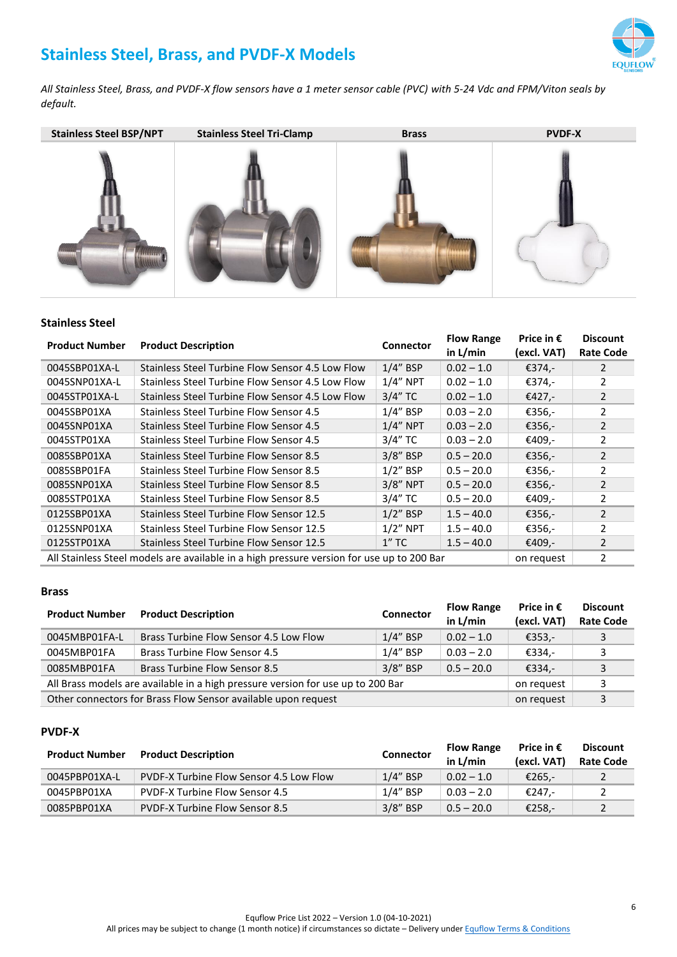# <span id="page-5-0"></span>**Stainless Steel, Brass, and PVDF-X Models**



*All Stainless Steel, Brass, and PVDF-X flow sensors have a 1 meter sensor cable (PVC) with 5-24 Vdc and FPM/Viton seals by default.*



#### <span id="page-5-1"></span>**Stainless Steel**

| <b>Product Number</b> | <b>Product Description</b>                                                                | Connector   | <b>Flow Range</b> | Price in $\epsilon$ | <b>Discount</b>  |
|-----------------------|-------------------------------------------------------------------------------------------|-------------|-------------------|---------------------|------------------|
|                       |                                                                                           |             | in $L/min$        | (excl. VAT)         | <b>Rate Code</b> |
| 0045SBP01XA-L         | Stainless Steel Turbine Flow Sensor 4.5 Low Flow                                          | $1/4$ " BSP | $0.02 - 1.0$      | €374,-              | $\mathcal{P}$    |
| 0045SNP01XA-L         | Stainless Steel Turbine Flow Sensor 4.5 Low Flow                                          | $1/4$ " NPT | $0.02 - 1.0$      | €374,-              |                  |
| 0045STP01XA-L         | Stainless Steel Turbine Flow Sensor 4.5 Low Flow                                          | $3/4"$ TC   | $0.02 - 1.0$      | €427,-              | 2                |
| 0045SBP01XA           | Stainless Steel Turbine Flow Sensor 4.5                                                   | $1/4$ " BSP | $0.03 - 2.0$      | €356,-              | $\mathfrak{p}$   |
| 0045SNP01XA           | Stainless Steel Turbine Flow Sensor 4.5                                                   | $1/4$ " NPT | $0.03 - 2.0$      | €356,-              | 2                |
| 0045STP01XA           | Stainless Steel Turbine Flow Sensor 4.5                                                   | $3/4"$ TC   | $0.03 - 2.0$      | €409,-              | $\overline{2}$   |
| 0085SBP01XA           | Stainless Steel Turbine Flow Sensor 8.5                                                   | $3/8$ " BSP | $0.5 - 20.0$      | €356,-              | $\mathcal{P}$    |
| 0085SBP01FA           | Stainless Steel Turbine Flow Sensor 8.5                                                   | $1/2$ " BSP | $0.5 - 20.0$      | €356,-              | 2                |
| 0085SNP01XA           | Stainless Steel Turbine Flow Sensor 8.5                                                   | $3/8$ " NPT | $0.5 - 20.0$      | €356,-              | 2                |
| 0085STP01XA           | <b>Stainless Steel Turbine Flow Sensor 8.5</b>                                            | $3/4"$ TC   | $0.5 - 20.0$      | €409,-              | 2                |
| 0125SBP01XA           | Stainless Steel Turbine Flow Sensor 12.5                                                  | $1/2$ " BSP | $1.5 - 40.0$      | €356.-              | 2                |
| 0125SNP01XA           | Stainless Steel Turbine Flow Sensor 12.5                                                  | $1/2$ " NPT | $1.5 - 40.0$      | €356.-              | $\mathfrak{p}$   |
| 0125STP01XA           | Stainless Steel Turbine Flow Sensor 12.5                                                  | $1''$ TC    | $1.5 - 40.0$      | €409,-              | 2                |
|                       | All Stainless Steel models are available in a high pressure version for use up to 200 Bar |             |                   | on request          | 2                |

#### <span id="page-5-2"></span>**Brass**

| <b>Product Number</b>                                                           | <b>Product Description</b>             | <b>Connector</b> | <b>Flow Range</b><br>in L/min | Price in $\epsilon$<br>(excl. VAT) | <b>Discount</b><br><b>Rate Code</b> |
|---------------------------------------------------------------------------------|----------------------------------------|------------------|-------------------------------|------------------------------------|-------------------------------------|
| 0045MBP01FA-L                                                                   | Brass Turbine Flow Sensor 4.5 Low Flow | $1/4$ " BSP      | $0.02 - 1.0$                  | €353,-                             | 3                                   |
| 0045MBP01FA                                                                     | <b>Brass Turbine Flow Sensor 4.5</b>   | $1/4$ " BSP      | $0.03 - 2.0$                  | €334.-                             | 3                                   |
| 0085MBP01FA                                                                     | Brass Turbine Flow Sensor 8.5          | 3/8" BSP         | $0.5 - 20.0$                  | €334.-                             | 3                                   |
| All Brass models are available in a high pressure version for use up to 200 Bar |                                        |                  |                               | on request                         | 3                                   |
| Other connectors for Brass Flow Sensor available upon request                   |                                        |                  |                               | on request                         |                                     |

#### <span id="page-5-3"></span>**PVDF-X**

| <b>Product Number</b> | <b>Product Description</b>              | <b>Connector</b> | <b>Flow Range</b><br>in $L/min$ | Price in $\epsilon$<br>(excl. VAT) | <b>Discount</b><br><b>Rate Code</b> |
|-----------------------|-----------------------------------------|------------------|---------------------------------|------------------------------------|-------------------------------------|
| 0045PBP01XA-L         | PVDF-X Turbine Flow Sensor 4.5 Low Flow | $1/4$ " BSP      | $0.02 - 1.0$                    | €265.-                             |                                     |
| 0045PBP01XA           | <b>PVDF-X Turbine Flow Sensor 4.5</b>   | 1/4" BSP         | $0.03 - 2.0$                    | €247.-                             |                                     |
| 0085PBP01XA           | <b>PVDF-X Turbine Flow Sensor 8.5</b>   | $3/8$ " BSP      | $0.5 - 20.0$                    | €258,-                             |                                     |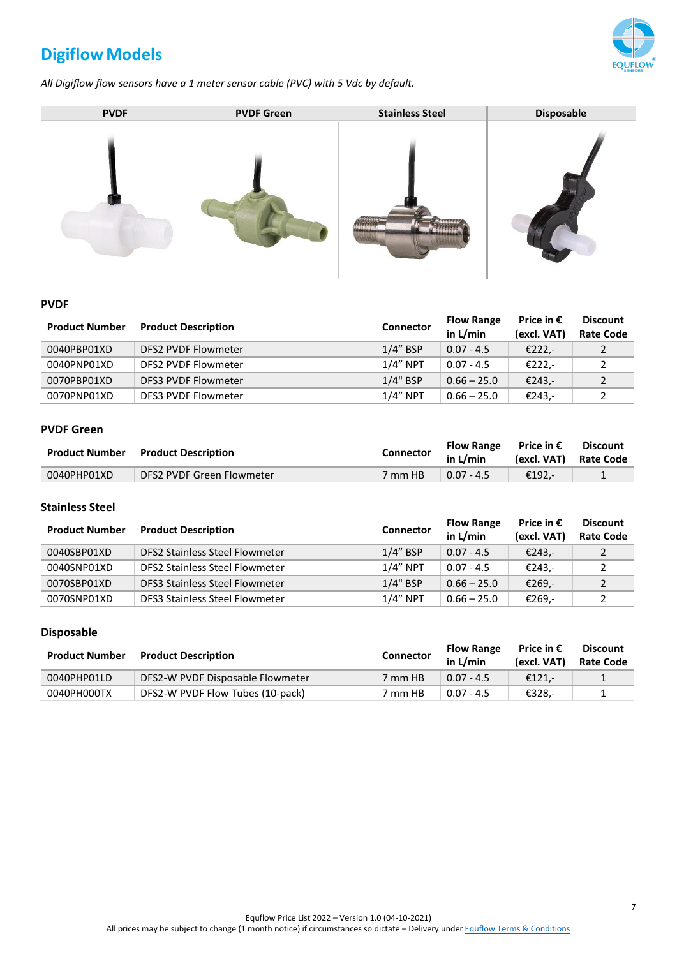# <span id="page-6-0"></span>**Digiflow Models**



*All Digiflow flow sensors have a 1 meter sensor cable (PVC) with 5 Vdc by default.*



#### <span id="page-6-1"></span>**PVDF**

| <b>Product Number</b> | <b>Product Description</b> | <b>Connector</b> | <b>Flow Range</b><br>in L/min | Price in $\epsilon$<br>(excl. VAT) | <b>Discount</b><br><b>Rate Code</b> |
|-----------------------|----------------------------|------------------|-------------------------------|------------------------------------|-------------------------------------|
| 0040PBP01XD           | DFS2 PVDF Flowmeter        | $1/4$ " BSP      | $0.07 - 4.5$                  | €222,-                             |                                     |
| 0040PNP01XD           | DFS2 PVDF Flowmeter        | $1/4"$ NPT       | $0.07 - 4.5$                  | €222,-                             |                                     |
| 0070PBP01XD           | DFS3 PVDF Flowmeter        | $1/4$ " BSP      | $0.66 - 25.0$                 | €243.-                             |                                     |
| 0070PNP01XD           | DFS3 PVDF Flowmeter        | $1/4"$ NPT       | $0.66 - 25.0$                 | €243.-                             |                                     |

#### <span id="page-6-2"></span>**PVDF Green**

| <b>Product Number</b> | <b>Product Description</b> | Connector | <b>Flow Range</b><br>in $L/min$ | Price in $\bm{\epsilon}$<br>(excl. VAT) Rate Code | <b>Discount</b> |
|-----------------------|----------------------------|-----------|---------------------------------|---------------------------------------------------|-----------------|
| 0040PHP01XD           | DFS2 PVDF Green Flowmeter  | 7 mm HB   | $0.07 - 4.5$                    | €192.-                                            |                 |

### <span id="page-6-3"></span>**Stainless Steel**

| <b>Product Number</b> | <b>Product Description</b>     | <b>Connector</b> | <b>Flow Range</b><br>in $L/min$ | Price in $\epsilon$<br>(excl. VAT) | <b>Discount</b><br><b>Rate Code</b> |
|-----------------------|--------------------------------|------------------|---------------------------------|------------------------------------|-------------------------------------|
| 0040SBP01XD           | DFS2 Stainless Steel Flowmeter | $1/4$ " BSP      | $0.07 - 4.5$                    | €243.-                             |                                     |
| 0040SNP01XD           | DFS2 Stainless Steel Flowmeter | $1/4"$ NPT       | $0.07 - 4.5$                    | €243.-                             |                                     |
| 0070SBP01XD           | DFS3 Stainless Steel Flowmeter | $1/4$ " BSP      | $0.66 - 25.0$                   | €269.-                             |                                     |
| 0070SNP01XD           | DFS3 Stainless Steel Flowmeter | $1/4"$ NPT       | $0.66 - 25.0$                   | €269.-                             |                                     |

### <span id="page-6-4"></span>**Disposable**

| <b>Product Number</b> | <b>Product Description</b>       | Connector | <b>Flow Range</b><br>in $L/min$ | Price in $\epsilon$<br>(excl. VAT) | <b>Discount</b><br><b>Rate Code</b> |
|-----------------------|----------------------------------|-----------|---------------------------------|------------------------------------|-------------------------------------|
| 0040PHP01LD           | DFS2-W PVDF Disposable Flowmeter | 7 mm HB   | $0.07 - 4.5$                    | €121.-                             |                                     |
| 0040PH000TX           | DFS2-W PVDF Flow Tubes (10-pack) | ' mm HB   | $0.07 - 4.5$                    | €328.-                             |                                     |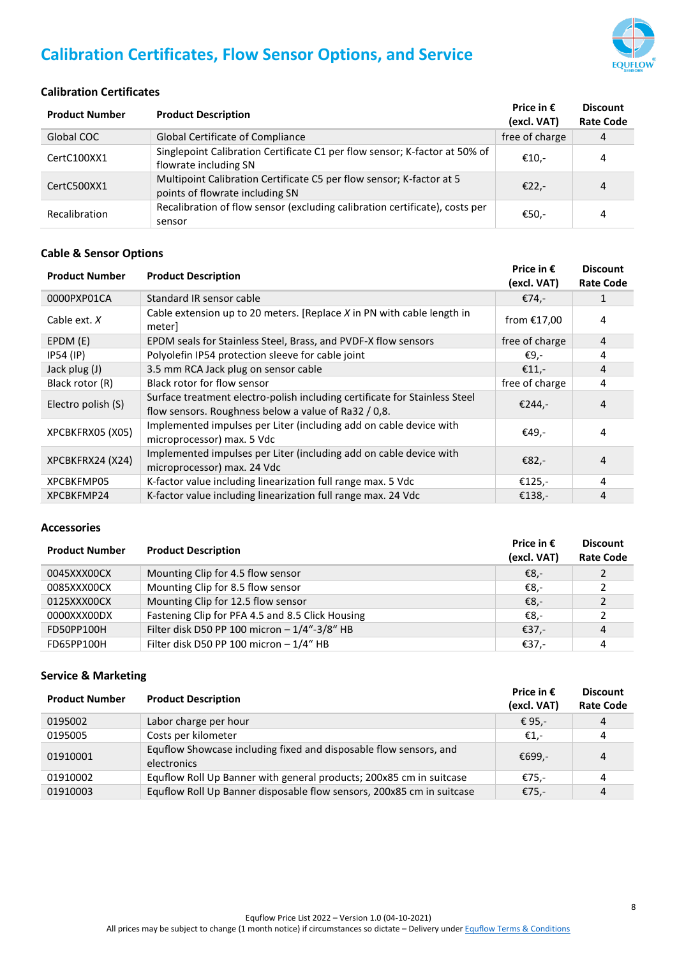

# <span id="page-7-0"></span>**Calibration Certificates, Flow Sensor Options, and Service**

### <span id="page-7-1"></span>**Calibration Certificates**

| <b>Product Number</b> | <b>Product Description</b>                                                                              | Price in $\epsilon$<br>(excl. VAT) | <b>Discount</b><br><b>Rate Code</b> |
|-----------------------|---------------------------------------------------------------------------------------------------------|------------------------------------|-------------------------------------|
| Global COC            | <b>Global Certificate of Compliance</b>                                                                 | free of charge                     | 4                                   |
| CertC100XX1           | Singlepoint Calibration Certificate C1 per flow sensor; K-factor at 50% of<br>flowrate including SN     | €10,-                              | 4                                   |
| CertC500XX1           | Multipoint Calibration Certificate C5 per flow sensor; K-factor at 5<br>points of flowrate including SN | $E22$ .                            | 4                                   |
| Recalibration         | Recalibration of flow sensor (excluding calibration certificate), costs per<br>sensor                   | €50,-                              | 4                                   |

#### <span id="page-7-2"></span>**Cable & Sensor Options**

| <b>Product Number</b> | <b>Product Description</b>                                                                                                         | Price in $\epsilon$<br>(excl. VAT) | <b>Discount</b><br><b>Rate Code</b> |
|-----------------------|------------------------------------------------------------------------------------------------------------------------------------|------------------------------------|-------------------------------------|
| 0000PXP01CA           | Standard IR sensor cable                                                                                                           | €74,-                              |                                     |
| Cable ext. $X$        | Cable extension up to 20 meters. [Replace X in PN with cable length in<br>meter                                                    | from $£17,00$                      | 4                                   |
| EPDM (E)              | EPDM seals for Stainless Steel, Brass, and PVDF-X flow sensors                                                                     | free of charge                     | 4                                   |
| $IP54$ (IP)           | Polyolefin IP54 protection sleeve for cable joint                                                                                  | €9,-                               | 4                                   |
| Jack plug (J)         | 3.5 mm RCA Jack plug on sensor cable                                                                                               | €11,-                              | 4                                   |
| Black rotor (R)       | Black rotor for flow sensor                                                                                                        | free of charge                     | 4                                   |
| Electro polish (S)    | Surface treatment electro-polish including certificate for Stainless Steel<br>flow sensors. Roughness below a value of Ra32 / 0,8. | €244,-                             | 4                                   |
| XPCBKFRX05 (X05)      | Implemented impulses per Liter (including add on cable device with<br>microprocessor) max. 5 Vdc                                   | €49,-                              | 4                                   |
| XPCBKFRX24 (X24)      | Implemented impulses per Liter (including add on cable device with<br>microprocessor) max. 24 Vdc                                  | €82,-                              | 4                                   |
| XPCBKFMP05            | K-factor value including linearization full range max. 5 Vdc                                                                       | €125,-                             | 4                                   |
| XPCBKFMP24            | K-factor value including linearization full range max. 24 Vdc                                                                      | €138,-                             | 4                                   |

#### <span id="page-7-3"></span>**Accessories**

| <b>Product Number</b> | <b>Product Description</b>                       | Price in $\epsilon$<br>(excl. VAT) | <b>Discount</b><br><b>Rate Code</b> |
|-----------------------|--------------------------------------------------|------------------------------------|-------------------------------------|
| 0045XXX00CX           | Mounting Clip for 4.5 flow sensor                | €8.-                               | $\mathcal{P}$                       |
| 0085XXX00CX           | Mounting Clip for 8.5 flow sensor                | €8,-                               |                                     |
| 0125XXX00CX           | Mounting Clip for 12.5 flow sensor               | €8,-                               |                                     |
| 0000XXX00DX           | Fastening Clip for PFA 4.5 and 8.5 Click Housing | €8.-                               |                                     |
| FD50PP100H            | Filter disk D50 PP 100 micron - 1/4"-3/8" HB     | €37,-                              | 4                                   |
| FD65PP100H            | Filter disk D50 PP 100 micron $-1/4$ " HB        | €37,-                              | 4                                   |

#### <span id="page-7-4"></span>**Service & Marketing**

| <b>Product Number</b> | <b>Product Description</b>                                                       | Price in $\epsilon$<br>(excl. VAT) | <b>Discount</b><br><b>Rate Code</b> |
|-----------------------|----------------------------------------------------------------------------------|------------------------------------|-------------------------------------|
| 0195002               | Labor charge per hour                                                            | € 95,-                             | 4                                   |
| 0195005               | Costs per kilometer                                                              | €1.-                               | 4                                   |
| 01910001              | Equflow Showcase including fixed and disposable flow sensors, and<br>electronics | €699.-                             | 4                                   |
| 01910002              | Equflow Roll Up Banner with general products; 200x85 cm in suitcase              | €75,-                              | 4                                   |
| 01910003              | Equilow Roll Up Banner disposable flow sensors, 200x85 cm in suitcase            | €75,-                              | 4                                   |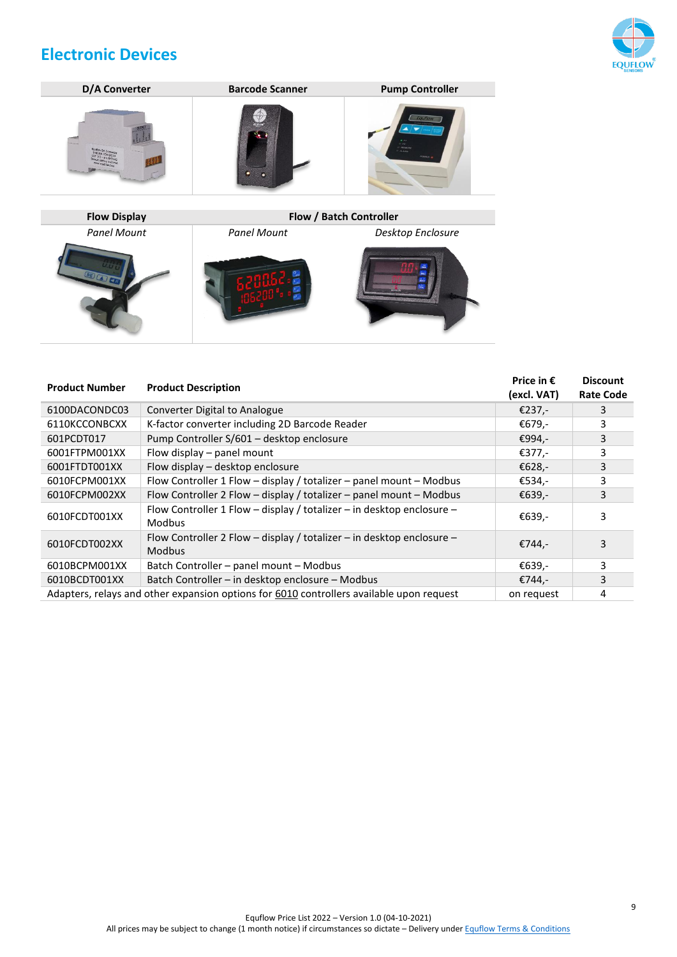# <span id="page-8-0"></span>**Electronic Devices**





| <b>Product Number</b> | <b>Product Description</b>                                                               | Price in $\epsilon$<br>(excl. VAT) | <b>Discount</b><br><b>Rate Code</b> |
|-----------------------|------------------------------------------------------------------------------------------|------------------------------------|-------------------------------------|
| 6100DACONDC03         | Converter Digital to Analogue                                                            | €237,-                             | 3                                   |
| 6110KCCONBCXX         | K-factor converter including 2D Barcode Reader                                           | €679,-                             | 3                                   |
| 601PCDT017            | Pump Controller S/601 - desktop enclosure                                                | €994,-                             | 3                                   |
| 6001FTPM001XX         | Flow display – panel mount                                                               | €377,-                             | 3                                   |
| 6001FTDT001XX         | Flow display – desktop enclosure                                                         | €628,-                             | 3                                   |
| 6010FCPM001XX         | Flow Controller 1 Flow - display / totalizer - panel mount - Modbus                      | €534,-                             | 3                                   |
| 6010FCPM002XX         | Flow Controller 2 Flow - display / totalizer - panel mount - Modbus                      | €639,-                             | 3                                   |
| 6010FCDT001XX         | Flow Controller 1 Flow - display / totalizer - in desktop enclosure -<br><b>Modbus</b>   | €639,-                             | 3                                   |
| 6010FCDT002XX         | Flow Controller 2 Flow - display / totalizer - in desktop enclosure -<br><b>Modbus</b>   | €744,-                             | 3                                   |
| 6010BCPM001XX         | Batch Controller - panel mount - Modbus                                                  | €639,-                             | 3                                   |
| 6010BCDT001XX         | Batch Controller - in desktop enclosure - Modbus                                         | €744,-                             | 3                                   |
|                       | Adapters, relays and other expansion options for 6010 controllers available upon request | on request                         | 4                                   |

9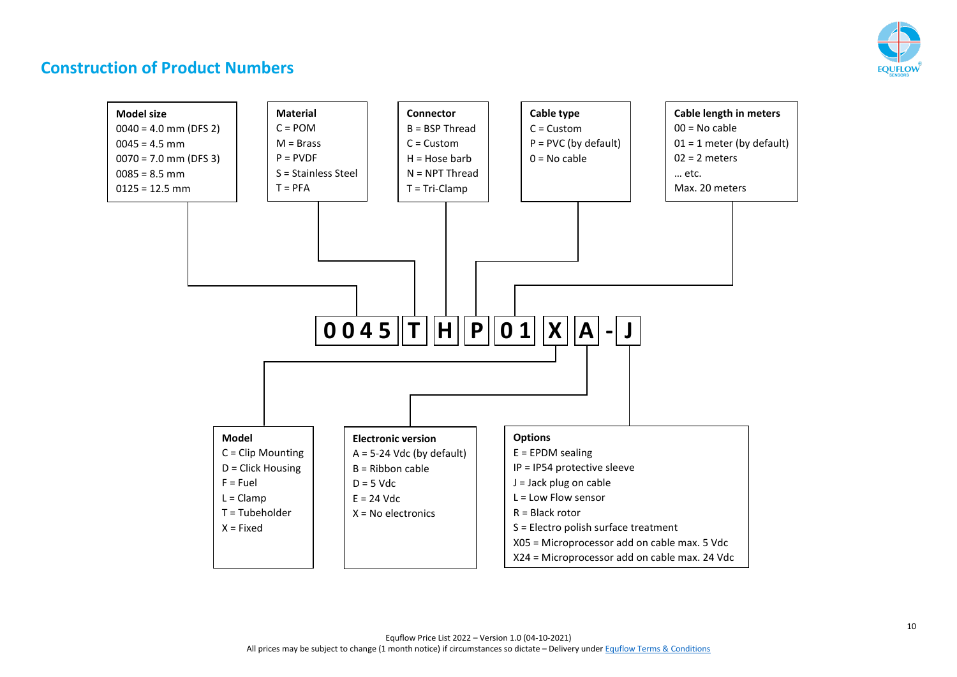

## **Construction of Product Numbers**

<span id="page-9-0"></span>